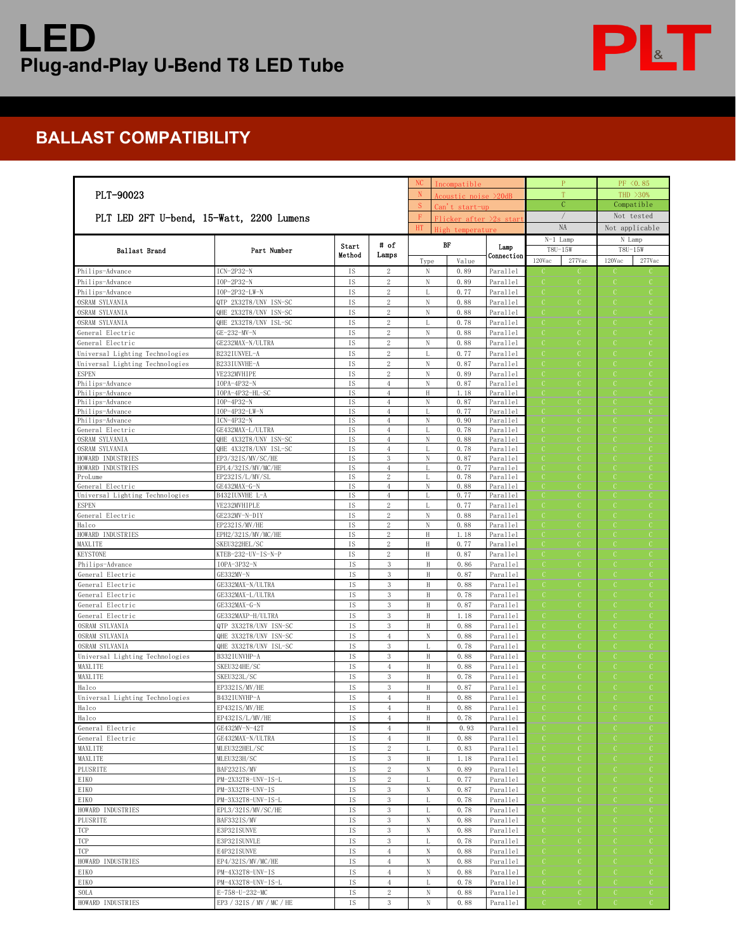## **LED Plug-and-Play U-Bend T8 LED Tube**



## **BALLAST COMPATIBILITY**

| PLT-90023<br>PLT LED 2FT U-bend, 15-Watt, 2200 Lumens |                                           |                 |                                  | <sub>NC</sub>                                                                    | Incompatible  |                      | $\mathbf{P}$       | PF <0.85                 |  |
|-------------------------------------------------------|-------------------------------------------|-----------------|----------------------------------|----------------------------------------------------------------------------------|---------------|----------------------|--------------------|--------------------------|--|
|                                                       |                                           |                 |                                  | N<br>Acoustic noise >20dB<br>S.<br>Can't start-up<br>F<br>Flicker after >2s star |               |                      | T                  | THD >30%                 |  |
|                                                       |                                           |                 |                                  |                                                                                  |               |                      | $\mathcal{C}$      | Compatible<br>Not tested |  |
|                                                       |                                           |                 |                                  |                                                                                  |               |                      | $\sqrt{2}$         |                          |  |
|                                                       |                                           |                 |                                  | HT<br>High temperature                                                           |               |                      | NA                 | Not applicable           |  |
| Ballast Brand                                         | Part Number                               | Start           | # of<br>Lamps                    |                                                                                  | BF            | Lamp                 | $N-1$ Lamp         | N Lamp                   |  |
|                                                       |                                           | Method          |                                  |                                                                                  |               | Connection           | T8U-15W            | T8U-15W                  |  |
| Philips-Advance                                       | $ICN-2P32-N$                              | IS              |                                  | Type<br>N                                                                        | Value<br>0.89 | Parallel             | 120Vac<br>277Vac   | 120Vac<br>277Vac         |  |
| Philips-Advance                                       | IOP-2P32-N                                | IS              | 2<br>$\,2\,$                     | ${\rm N}$                                                                        | 0.89          | Parallel             | $\mathcal{C}$<br>C | $\mathbb{C}$             |  |
| Philips-Advance                                       | IOP-2P32-LW-N                             | IS              | $\,2$                            | L                                                                                | 0.77          | Parallel             |                    | C                        |  |
| OSRAM SYLVANIA                                        | QTP 2X32T8/UNV ISN-SC                     | IS              | 2                                | N                                                                                | 0.88          | Parallel             | C                  |                          |  |
| OSRAM SYLVANIA                                        | QHE 2X32T8/UNV ISN-SC                     | IS              | $\,2$                            | N                                                                                | 0.88          | Parallel             | C                  |                          |  |
| OSRAM SYLVANIA                                        | QHE 2X32T8/UNV ISL-SC                     | IS              | $\,2\,$                          | L                                                                                | 0.78          | Parallel             |                    |                          |  |
| General Electric                                      | GE-232-MV-N                               | IS              | $\,2$                            | N                                                                                | 0.88          | Parallel             |                    |                          |  |
| General Electric                                      | GE232MAX-N/ULTRA                          | IS              | $\,2\,$                          | $\mathbf N$                                                                      | 0.88          | Parallel             |                    |                          |  |
| Universal Lighting Technologies                       | B232IUNVEL-A                              | IS              | $\mathbf{2}$                     | $\mathbb{L}$                                                                     | 0.77          | Parallel             | C                  |                          |  |
| Universal Lighting Technologies                       | B233IUNVHE-A                              | IS              | 2                                | N                                                                                | 0.87          | Parallel             | C                  |                          |  |
| <b>ESPEN</b><br>Philips-Advance                       | VE232MVHIPE<br>IOPA-4P32-N                | IS<br><b>IS</b> | $\overline{2}$<br>$\overline{4}$ | N<br>$\mathbf N$                                                                 | 0.89<br>0.87  | Parallel<br>Parallel |                    |                          |  |
| Philips-Advance                                       | IOPA-4P32-HL-SC                           | IS              | $\overline{4}$                   | $\,$ H                                                                           | 1.18          | Parallel             |                    |                          |  |
| Philips-Advance                                       | IOP-4P32-N                                | IS              | $\overline{4}$                   | N                                                                                | 0.87          | Parallel             |                    |                          |  |
| Philips-Advance                                       | IOP-4P32-LW-N                             | IS              | $\overline{4}$                   | $\mathbf{L}$                                                                     | 0.77          | Parallel             |                    |                          |  |
| Philips-Advance                                       | $ICN-4P32-N$                              | IS              | $\overline{4}$                   | N                                                                                | 0.90          | Parallel             |                    |                          |  |
| General Electric<br>OSRAM SYLVANIA                    | GE432MAX-L/ULTRA<br>QHE 4X32T8/UNV ISN-SC | <b>IS</b><br>IS | $\overline{4}$<br>$^{4}$         | N                                                                                | 0.78<br>0.88  | Parallel<br>Parallel | C                  |                          |  |
| OSRAM SYLVANIA                                        | QHE 4X32T8/UNV ISL-SC                     | IS              | $\overline{4}$                   | L                                                                                | 0.78          | Parallel             | O                  |                          |  |
| HOWARD INDUSTRIES                                     | EP3/32IS/MV/SC/HE                         | IS              | 3                                | N                                                                                | 0.87          | Parallel             |                    |                          |  |
| HOWARD INDUSTRIES                                     | EPL4/32IS/MV/MC/HE                        | IS              | $\overline{4}$                   | T                                                                                | 0.77          | Parallel             |                    |                          |  |
| ProLume                                               | EP232IS/L/MV/SL                           | IS              | $\,2$                            | $\mathbf{I}$                                                                     | 0.78          | Parallel             |                    |                          |  |
| General Electric<br>Universal Lighting Technologies   | GE432MAX-G-N<br>B432IUNVHE L-A            | <b>IS</b><br>IS | $\overline{4}$<br>$\overline{4}$ | N                                                                                | 0.88<br>0.77  | Parallel<br>Parallel | C                  | C                        |  |
| <b>ESPEN</b>                                          | VE232MVHIPLE                              | IS              | $\,2\,$                          | L                                                                                | 0.77          | Parallel             | C                  | C                        |  |
| General Electric                                      | GE232MV-N-DIY                             | IS              | $\mathbf{2}$                     | N                                                                                | 0.88          | Parallel             |                    |                          |  |
| Halco                                                 | EP232IS/MV/HE                             | IS              | $\mathbf{2}$                     | $\,$ N                                                                           | 0.88          | Parallel             |                    |                          |  |
| HOWARD INDUSTRIES                                     | EPH2/321S/MV/MC/HE                        | <b>IS</b>       | $\mathbf{2}$                     | $\rm H$                                                                          | 1.18          | Parallel             |                    |                          |  |
| MAXLITE                                               | SKEU322HEL/SC                             | IS              | 2                                | H                                                                                | 0.77          | Parallel             | C                  | C                        |  |
| <b>KEYSTONE</b>                                       | KTEB-232-UV-IS-N-P                        | IS              | $\,2\,$                          | $\,$ H                                                                           | 0.87          | Parallel             |                    |                          |  |
| Philips-Advance                                       | IOPA-3P32-N                               | IS              | 3<br>3                           | $\rm H$<br>Н                                                                     | 0.86<br>0.87  | Parallel             |                    |                          |  |
| General Electric<br>General Electric                  | GE332MV-N<br>GE332MAX-N/ULTRA             | IS<br>IS        | $\mathbf{3}$                     | $\rm H$                                                                          | 0.88          | Parallel<br>Parallel |                    |                          |  |
| General Electric                                      | GE332MAX-L/ULTRA                          | IS              | 3                                | $\rm H$                                                                          | 0.78          | Parallel             |                    | C                        |  |
| General Electric                                      | GE332MAX-G-N                              | IS              | 3                                | H                                                                                | 0.87          | Parallel             | C                  |                          |  |
| General Electric                                      | GE332MAXP-H/ULTRA                         | IS              | 3                                | $\rm H$                                                                          | 1.18          | Parallel             | C                  |                          |  |
| OSRAM SYLVANIA                                        | QTP 3X32T8/UNV ISN-SC                     | IS              | 3                                | Н                                                                                | 0.88          | Parallel             |                    |                          |  |
| OSRAM SYLVANIA                                        | QHE 3X32T8/UNV ISN-SC                     | IS              | $\overline{4}$                   | N                                                                                | 0.88          | Parallel             | C                  |                          |  |
| OSRAM SYLVANIA                                        | QHE 3X32T8/UNV ISL-SC                     | IS              | $\,$ 3 $\,$                      | $\overline{1}$                                                                   | 0.78          | Parallel             |                    |                          |  |
| Universal Lighting Technologies                       | B332IUNVHP-A                              | IS              | 3                                | $\rm H$                                                                          | 0.88          | Parallel             | C                  |                          |  |
| MAXLITE<br>MAXLITE                                    | SKEU324HE/SC                              | IS<br>IS        | $\overline{4}$<br>$\mathbf{3}$   | H                                                                                | 0.88          | Parallel             | C                  |                          |  |
| Halco                                                 | SKEU323L/SC<br>EP332IS/MV/HE              | IS              | 3                                | H<br>H                                                                           | 0.78<br>0.87  | Parallel<br>Parallel |                    |                          |  |
| Universal Lighting Technologies                       | B432IUNVHP-A                              | IS              | $\overline{4}$                   | Н                                                                                | 0.88          | Parallel             |                    |                          |  |
| Halco                                                 | EP432IS/MV/HE                             | IS              | $\,4$                            | $\rm H$                                                                          | 0.88          | Parallel             |                    |                          |  |
| Halco                                                 | EP432IS/L/MV/HE                           | IS              | $\overline{4}$                   | H                                                                                | 0.78          | Parallel             |                    |                          |  |
| General Electric                                      | GE432MV-N-42T                             | IS              | $\overline{4}$                   | $\rm H$                                                                          | 0.93          | Parallel             | C<br>C.            | C<br>C                   |  |
| General Electric                                      | GE432MAX-N/ULTRA                          | IS              | $^{4}$                           | H                                                                                | 0.88          | Parallel             | C                  |                          |  |
| MAXLITE                                               | MLEU322HEL/SC                             | IS              | $\mathbf{2}$                     | L                                                                                | 0.83          | Parallel             | C<br>C.            | C<br>C.                  |  |
| MAXLITE                                               | MLEU323H/SC                               | IS              | 3                                | $\rm H$                                                                          | 1.18          | Parallel             | C                  | -C<br>С                  |  |
| PLUSRITE                                              | BAF232IS/MV                               | IS              | $\overline{2}$                   | N                                                                                | 0.89          | Parallel             |                    |                          |  |
| EIKO<br>EIKO                                          | PM-2X32T8-UNV-IS-L<br>PM-3X32T8-UNV-IS    | IS<br>IS        | $\mathbf{2}$<br>$\mathbf{3}$     | L<br>$\,$ N                                                                      | 0.77<br>0.87  | Parallel<br>Parallel | C<br>C             | C<br>C<br>C              |  |
| EIKO                                                  | PM-3X32T8-UNV-IS-L                        | IS              | 3                                | L                                                                                | 0.78          | Parallel             | -C<br>C            | C                        |  |
| HOWARD INDUSTRIES                                     | EPL3/32IS/MV/SC/HE                        | IS              | 3                                | L                                                                                | 0.78          | Parallel             | C.<br>C.           | C<br>C.                  |  |
| PLUSRITE                                              | BAF332IS/MV                               | IS              | $\mathbf{3}$                     | $_{\rm N}$                                                                       | 0.88          | Parallel             | C<br>O             | C<br>С                   |  |
| TCP                                                   | E3P32ISUNVE                               | IS              | 3                                | $_{\rm N}$                                                                       | 0.88          | Parallel             | C                  | C                        |  |
| TCP                                                   | E3P32ISUNVLE                              | IS              | $\mathbf{3}$                     | L                                                                                | 0.78          | Parallel             | $\mathcal{C}$<br>C | $\mathcal{C}$            |  |
| TCP                                                   | E4P32ISUNVE                               | IS              | $\overline{4}$                   | $\,$ N                                                                           | 0.88          | Parallel             | $\mathcal{C}$<br>C | $\mathcal{C}$<br>C       |  |
| HOWARD INDUSTRIES                                     | EP4/32IS/MV/MC/HE                         | IS              | $\overline{4}$                   | N                                                                                | 0.88          | Parallel             | C.<br>C            | C                        |  |
| EIKO                                                  | PM-4X32T8-UNV-IS                          | IS              | $\overline{4}$                   | N                                                                                | 0.88          | Parallel             | C.<br>C            | C<br>C                   |  |
| EIKO                                                  | PM-4X32T8-UNV-IS-L                        | IS              | $\overline{4}$                   | L                                                                                | 0.78          | Parallel             | C                  | C                        |  |
| <b>SOLA</b>                                           | E-758-U-232-MC                            | IS              | $\overline{c}$                   | ${\rm N}$                                                                        | 0.88          | Parallel             |                    | C                        |  |
| HOWARD INDUSTRIES                                     | EP3 / 32IS / MV / MC / HE                 | IS              | 3                                | N                                                                                | 0.88          | Parallel             |                    |                          |  |